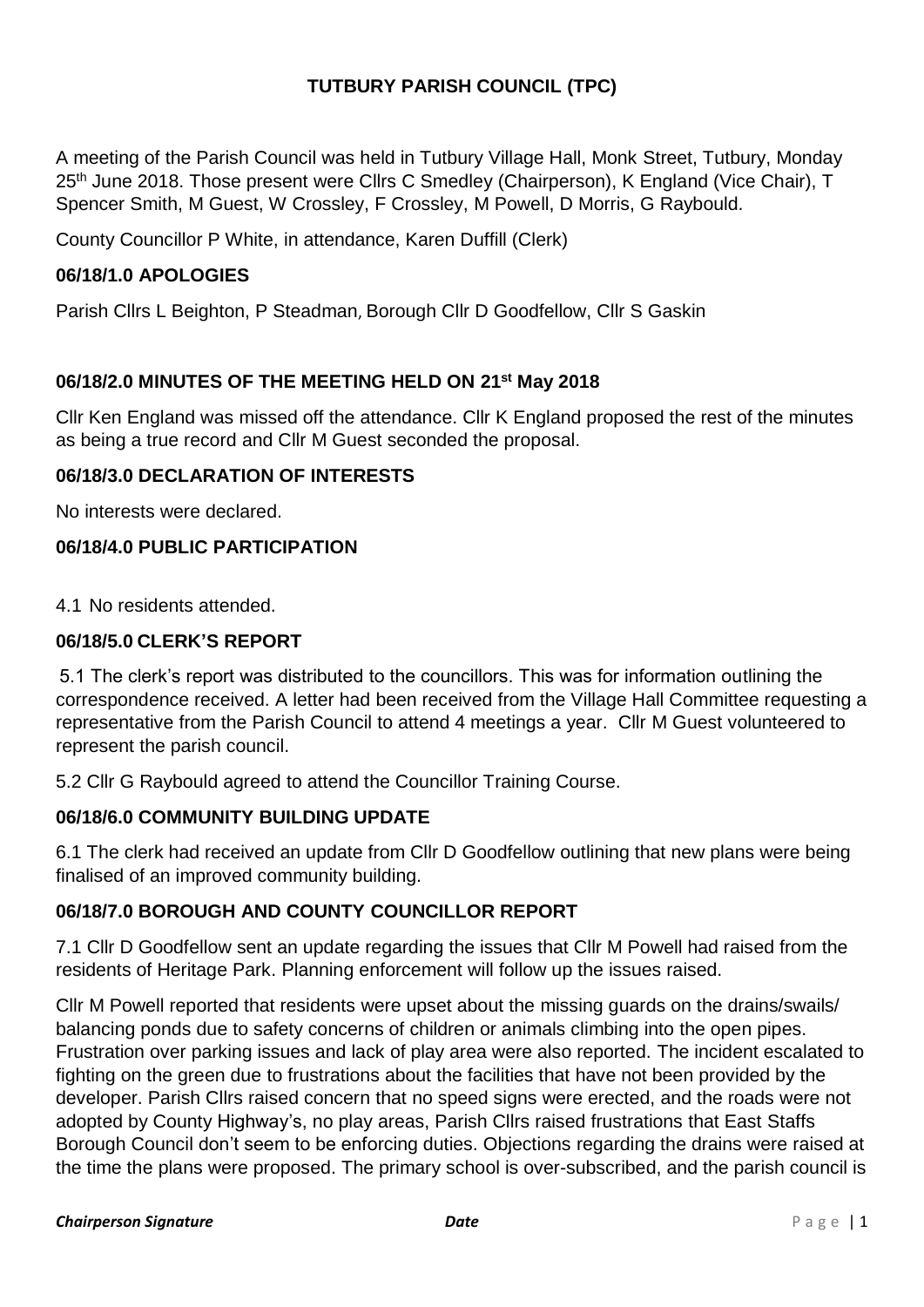### **TUTBURY PARISH COUNCIL (TPC)**

A meeting of the Parish Council was held in Tutbury Village Hall, Monk Street, Tutbury, Monday 25<sup>th</sup> June 2018. Those present were Cllrs C Smedley (Chairperson), K England (Vice Chair), T Spencer Smith, M Guest, W Crossley, F Crossley, M Powell, D Morris, G Raybould.

County Councillor P White, in attendance, Karen Duffill (Clerk)

#### **06/18/1.0 APOLOGIES**

Parish Cllrs L Beighton, P Steadman, Borough Cllr D Goodfellow, Cllr S Gaskin

#### **06/18/2.0 MINUTES OF THE MEETING HELD ON 21st May 2018**

Cllr Ken England was missed off the attendance. Cllr K England proposed the rest of the minutes as being a true record and Cllr M Guest seconded the proposal.

#### **06/18/3.0 DECLARATION OF INTERESTS**

No interests were declared.

#### **06/18/4.0 PUBLIC PARTICIPATION**

4.1 No residents attended.

#### **06/18/5.0 CLERK'S REPORT**

5.1 The clerk's report was distributed to the councillors. This was for information outlining the correspondence received. A letter had been received from the Village Hall Committee requesting a representative from the Parish Council to attend 4 meetings a year. Cllr M Guest volunteered to represent the parish council.

5.2 Cllr G Raybould agreed to attend the Councillor Training Course.

### **06/18/6.0 COMMUNITY BUILDING UPDATE**

6.1 The clerk had received an update from Cllr D Goodfellow outlining that new plans were being finalised of an improved community building.

### **06/18/7.0 BOROUGH AND COUNTY COUNCILLOR REPORT**

7.1 Cllr D Goodfellow sent an update regarding the issues that Cllr M Powell had raised from the residents of Heritage Park. Planning enforcement will follow up the issues raised.

Cllr M Powell reported that residents were upset about the missing guards on the drains/swails/ balancing ponds due to safety concerns of children or animals climbing into the open pipes. Frustration over parking issues and lack of play area were also reported. The incident escalated to fighting on the green due to frustrations about the facilities that have not been provided by the developer. Parish Cllrs raised concern that no speed signs were erected, and the roads were not adopted by County Highway's, no play areas, Parish Cllrs raised frustrations that East Staffs Borough Council don't seem to be enforcing duties. Objections regarding the drains were raised at the time the plans were proposed. The primary school is over-subscribed, and the parish council is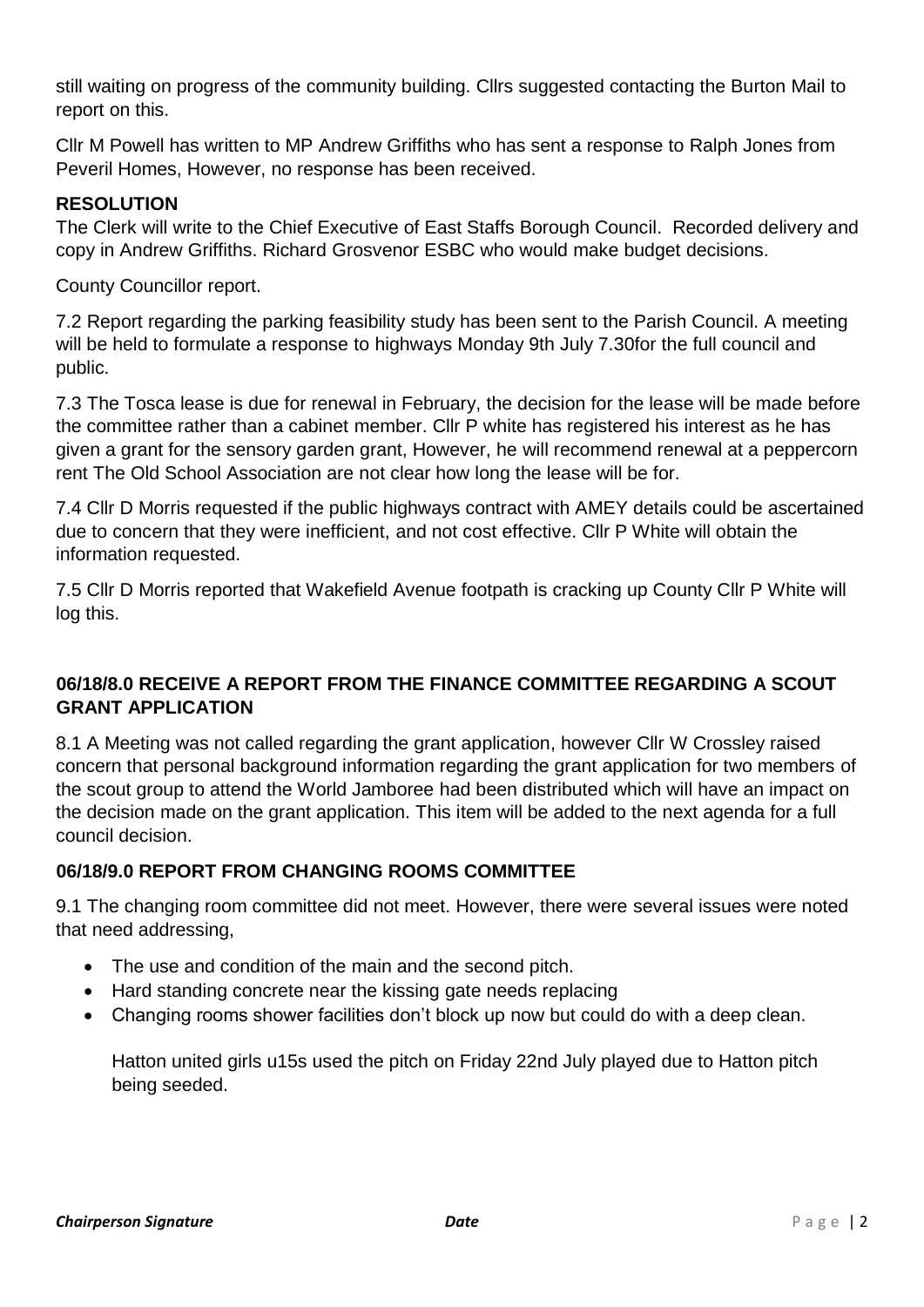still waiting on progress of the community building. Cllrs suggested contacting the Burton Mail to report on this.

Cllr M Powell has written to MP Andrew Griffiths who has sent a response to Ralph Jones from Peveril Homes, However, no response has been received.

### **RESOLUTION**

The Clerk will write to the Chief Executive of East Staffs Borough Council. Recorded delivery and copy in Andrew Griffiths. Richard Grosvenor ESBC who would make budget decisions.

County Councillor report.

7.2 Report regarding the parking feasibility study has been sent to the Parish Council. A meeting will be held to formulate a response to highways Monday 9th July 7.30for the full council and public.

7.3 The Tosca lease is due for renewal in February, the decision for the lease will be made before the committee rather than a cabinet member. Cllr P white has registered his interest as he has given a grant for the sensory garden grant, However, he will recommend renewal at a peppercorn rent The Old School Association are not clear how long the lease will be for.

7.4 Cllr D Morris requested if the public highways contract with AMEY details could be ascertained due to concern that they were inefficient, and not cost effective. Cllr P White will obtain the information requested.

7.5 Cllr D Morris reported that Wakefield Avenue footpath is cracking up County Cllr P White will log this.

### **06/18/8.0 RECEIVE A REPORT FROM THE FINANCE COMMITTEE REGARDING A SCOUT GRANT APPLICATION**

8.1 A Meeting was not called regarding the grant application, however Cllr W Crossley raised concern that personal background information regarding the grant application for two members of the scout group to attend the World Jamboree had been distributed which will have an impact on the decision made on the grant application. This item will be added to the next agenda for a full council decision.

### **06/18/9.0 REPORT FROM CHANGING ROOMS COMMITTEE**

9.1 The changing room committee did not meet. However, there were several issues were noted that need addressing,

- The use and condition of the main and the second pitch.
- Hard standing concrete near the kissing gate needs replacing
- Changing rooms shower facilities don't block up now but could do with a deep clean.

Hatton united girls u15s used the pitch on Friday 22nd July played due to Hatton pitch being seeded.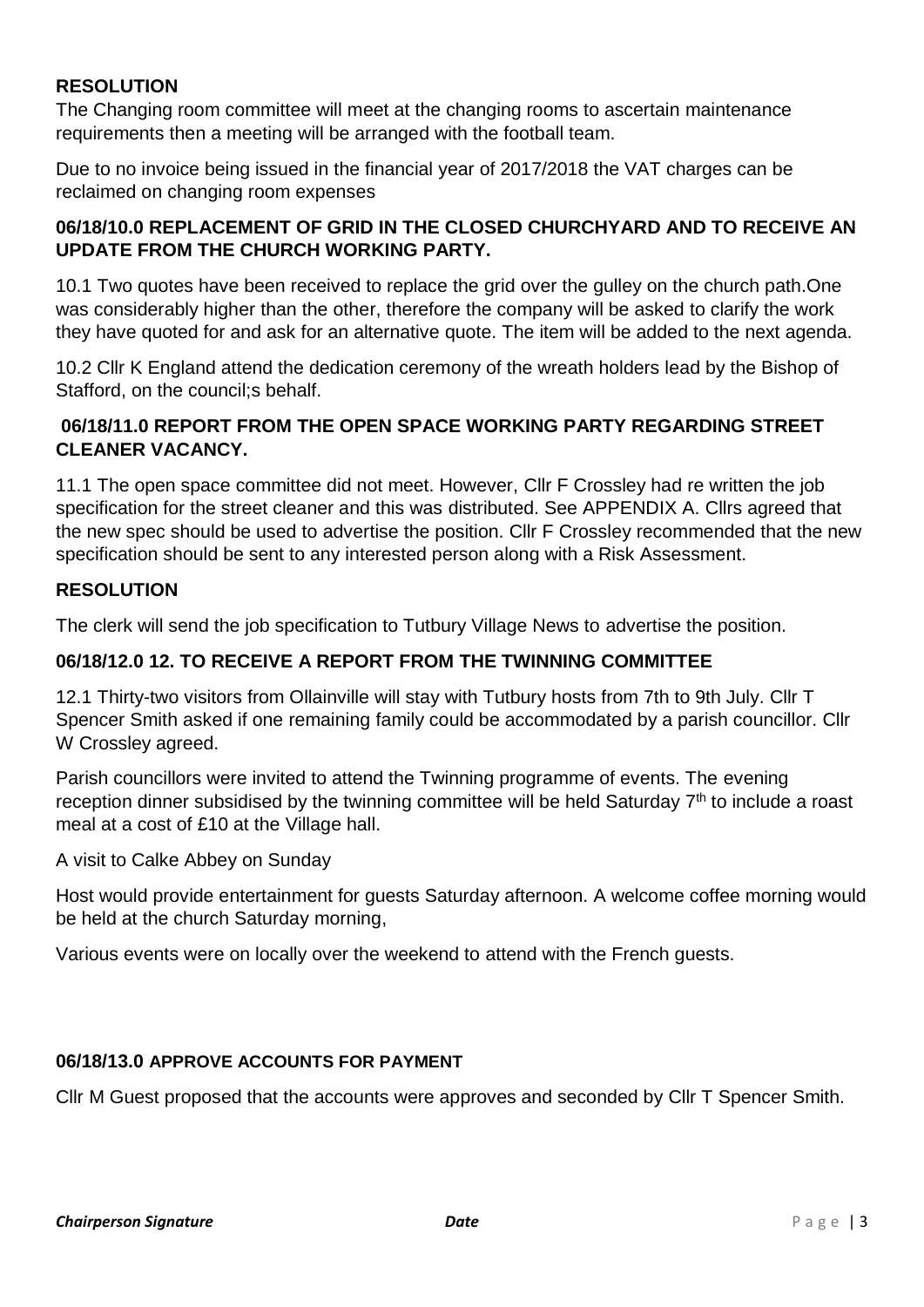### **RESOLUTION**

The Changing room committee will meet at the changing rooms to ascertain maintenance requirements then a meeting will be arranged with the football team.

Due to no invoice being issued in the financial year of 2017/2018 the VAT charges can be reclaimed on changing room expenses

### **06/18/10.0 REPLACEMENT OF GRID IN THE CLOSED CHURCHYARD AND TO RECEIVE AN UPDATE FROM THE CHURCH WORKING PARTY.**

10.1 Two quotes have been received to replace the grid over the gulley on the church path.One was considerably higher than the other, therefore the company will be asked to clarify the work they have quoted for and ask for an alternative quote. The item will be added to the next agenda.

10.2 Cllr K England attend the dedication ceremony of the wreath holders lead by the Bishop of Stafford, on the council;s behalf.

### **06/18/11.0 REPORT FROM THE OPEN SPACE WORKING PARTY REGARDING STREET CLEANER VACANCY.**

11.1 The open space committee did not meet. However, Cllr F Crossley had re written the job specification for the street cleaner and this was distributed. See APPENDIX A. Cllrs agreed that the new spec should be used to advertise the position. Cllr F Crossley recommended that the new specification should be sent to any interested person along with a Risk Assessment.

### **RESOLUTION**

The clerk will send the job specification to Tutbury Village News to advertise the position.

### **06/18/12.0 12. TO RECEIVE A REPORT FROM THE TWINNING COMMITTEE**

12.1 Thirty-two visitors from Ollainville will stay with Tutbury hosts from 7th to 9th July. Cllr T Spencer Smith asked if one remaining family could be accommodated by a parish councillor. Cllr W Crossley agreed.

Parish councillors were invited to attend the Twinning programme of events. The evening reception dinner subsidised by the twinning committee will be held Saturday 7<sup>th</sup> to include a roast meal at a cost of £10 at the Village hall.

A visit to Calke Abbey on Sunday

Host would provide entertainment for guests Saturday afternoon. A welcome coffee morning would be held at the church Saturday morning,

Various events were on locally over the weekend to attend with the French guests.

#### **06/18/13.0 APPROVE ACCOUNTS FOR PAYMENT**

Cllr M Guest proposed that the accounts were approves and seconded by Cllr T Spencer Smith.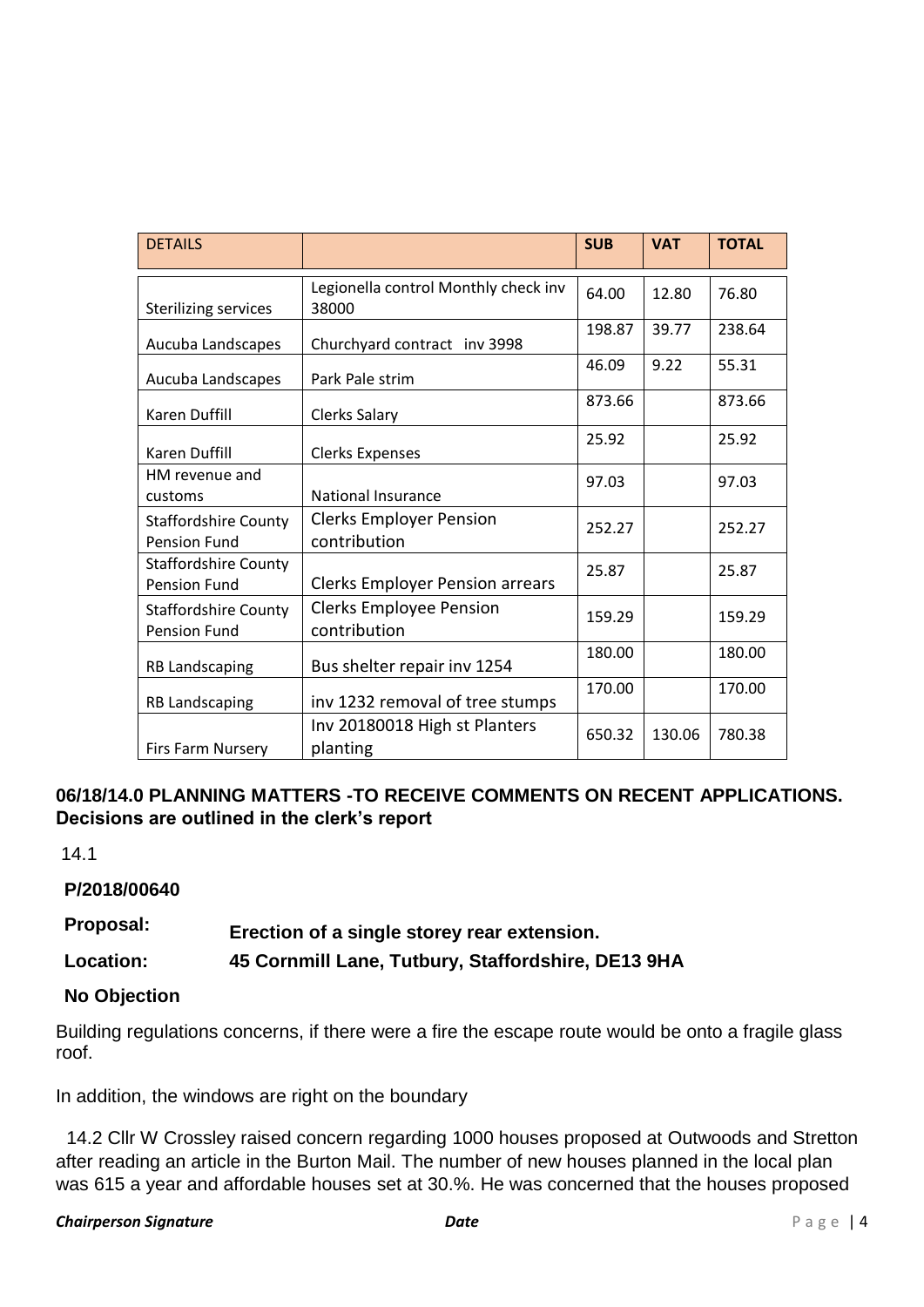| <b>DETAILS</b>                                     |                                                | <b>SUB</b> | <b>VAT</b> | <b>TOTAL</b> |
|----------------------------------------------------|------------------------------------------------|------------|------------|--------------|
| <b>Sterilizing services</b>                        | Legionella control Monthly check inv<br>38000  | 64.00      | 12.80      | 76.80        |
| Aucuba Landscapes                                  | Churchyard contract inv 3998                   | 198.87     | 39.77      | 238.64       |
| Aucuba Landscapes                                  | Park Pale strim                                | 46.09      | 9.22       | 55.31        |
| Karen Duffill                                      | Clerks Salary                                  | 873.66     |            | 873.66       |
| <b>Karen Duffill</b>                               | <b>Clerks Expenses</b>                         | 25.92      |            | 25.92        |
| HM revenue and<br>customs                          | <b>National Insurance</b>                      | 97.03      |            | 97.03        |
| <b>Staffordshire County</b><br><b>Pension Fund</b> | <b>Clerks Employer Pension</b><br>contribution | 252.27     |            | 252.27       |
| <b>Staffordshire County</b><br><b>Pension Fund</b> | <b>Clerks Employer Pension arrears</b>         | 25.87      |            | 25.87        |
| <b>Staffordshire County</b><br><b>Pension Fund</b> | <b>Clerks Employee Pension</b><br>contribution | 159.29     |            | 159.29       |
| <b>RB Landscaping</b>                              | Bus shelter repair inv 1254                    | 180.00     |            | 180.00       |
| <b>RB Landscaping</b>                              | inv 1232 removal of tree stumps                | 170.00     |            | 170.00       |
| <b>Firs Farm Nursery</b>                           | Inv 20180018 High st Planters<br>planting      | 650.32     | 130.06     | 780.38       |

### **06/18/14.0 PLANNING MATTERS -TO RECEIVE COMMENTS ON RECENT APPLICATIONS. Decisions are outlined in the clerk's report**

14.1

**P/2018/00640**

# **Proposal: Erection of a single storey rear extension. Location: 45 Cornmill Lane, Tutbury, Staffordshire, DE13 9HA**

### **No Objection**

Building regulations concerns, if there were a fire the escape route would be onto a fragile glass roof.

In addition, the windows are right on the boundary

14.2 Cllr W Crossley raised concern regarding 1000 houses proposed at Outwoods and Stretton after reading an article in the Burton Mail. The number of new houses planned in the local plan was 615 a year and affordable houses set at 30.%. He was concerned that the houses proposed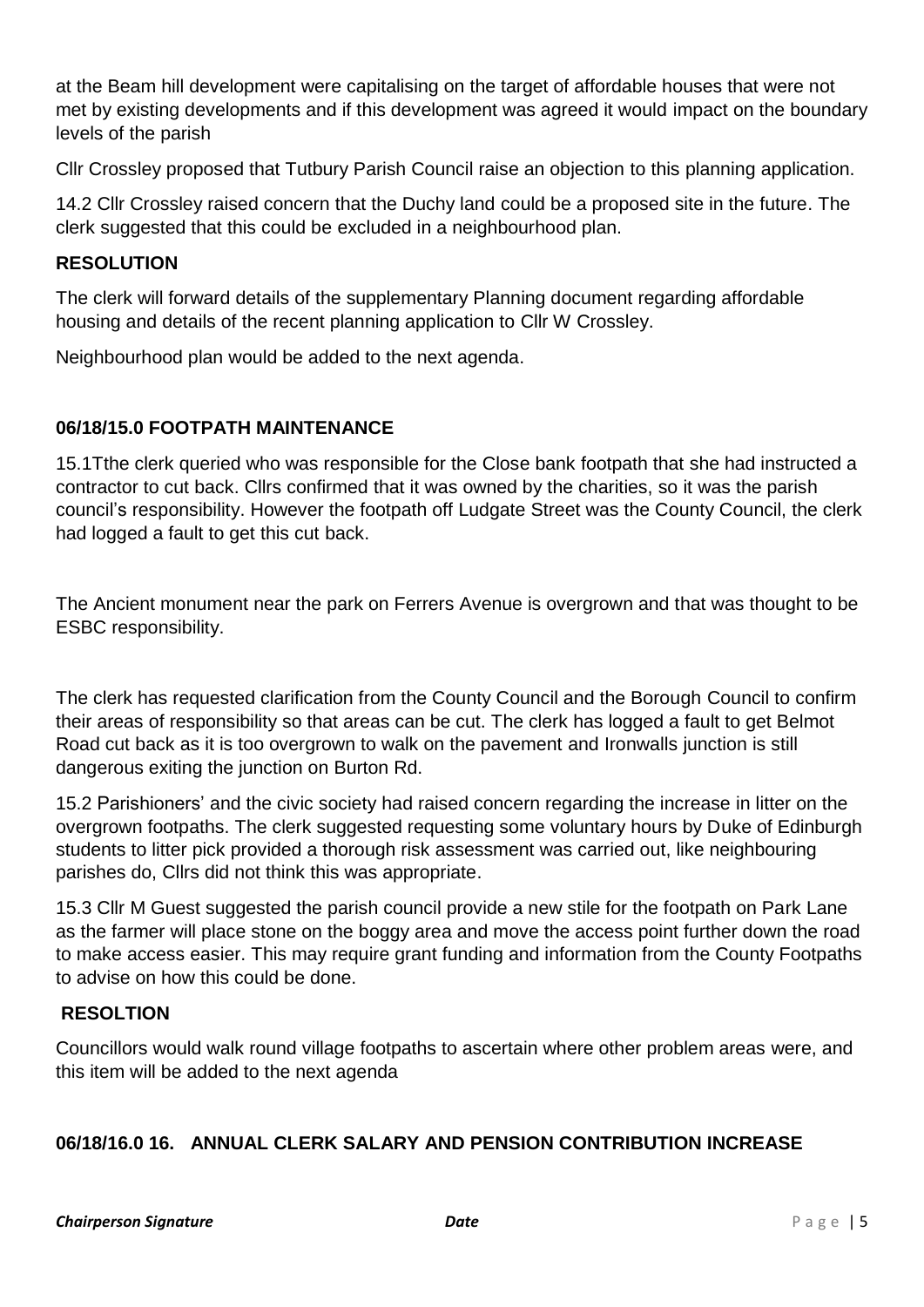at the Beam hill development were capitalising on the target of affordable houses that were not met by existing developments and if this development was agreed it would impact on the boundary levels of the parish

Cllr Crossley proposed that Tutbury Parish Council raise an objection to this planning application.

14.2 Cllr Crossley raised concern that the Duchy land could be a proposed site in the future. The clerk suggested that this could be excluded in a neighbourhood plan.

### **RESOLUTION**

The clerk will forward details of the supplementary Planning document regarding affordable housing and details of the recent planning application to Cllr W Crossley.

Neighbourhood plan would be added to the next agenda.

### **06/18/15.0 FOOTPATH MAINTENANCE**

15.1Tthe clerk queried who was responsible for the Close bank footpath that she had instructed a contractor to cut back. Cllrs confirmed that it was owned by the charities, so it was the parish council's responsibility. However the footpath off Ludgate Street was the County Council, the clerk had logged a fault to get this cut back.

The Ancient monument near the park on Ferrers Avenue is overgrown and that was thought to be ESBC responsibility.

The clerk has requested clarification from the County Council and the Borough Council to confirm their areas of responsibility so that areas can be cut. The clerk has logged a fault to get Belmot Road cut back as it is too overgrown to walk on the pavement and Ironwalls junction is still dangerous exiting the junction on Burton Rd.

15.2 Parishioners' and the civic society had raised concern regarding the increase in litter on the overgrown footpaths. The clerk suggested requesting some voluntary hours by Duke of Edinburgh students to litter pick provided a thorough risk assessment was carried out, like neighbouring parishes do, Cllrs did not think this was appropriate.

15.3 Cllr M Guest suggested the parish council provide a new stile for the footpath on Park Lane as the farmer will place stone on the boggy area and move the access point further down the road to make access easier. This may require grant funding and information from the County Footpaths to advise on how this could be done.

### **RESOLTION**

Councillors would walk round village footpaths to ascertain where other problem areas were, and this item will be added to the next agenda

### **06/18/16.0 16. ANNUAL CLERK SALARY AND PENSION CONTRIBUTION INCREASE**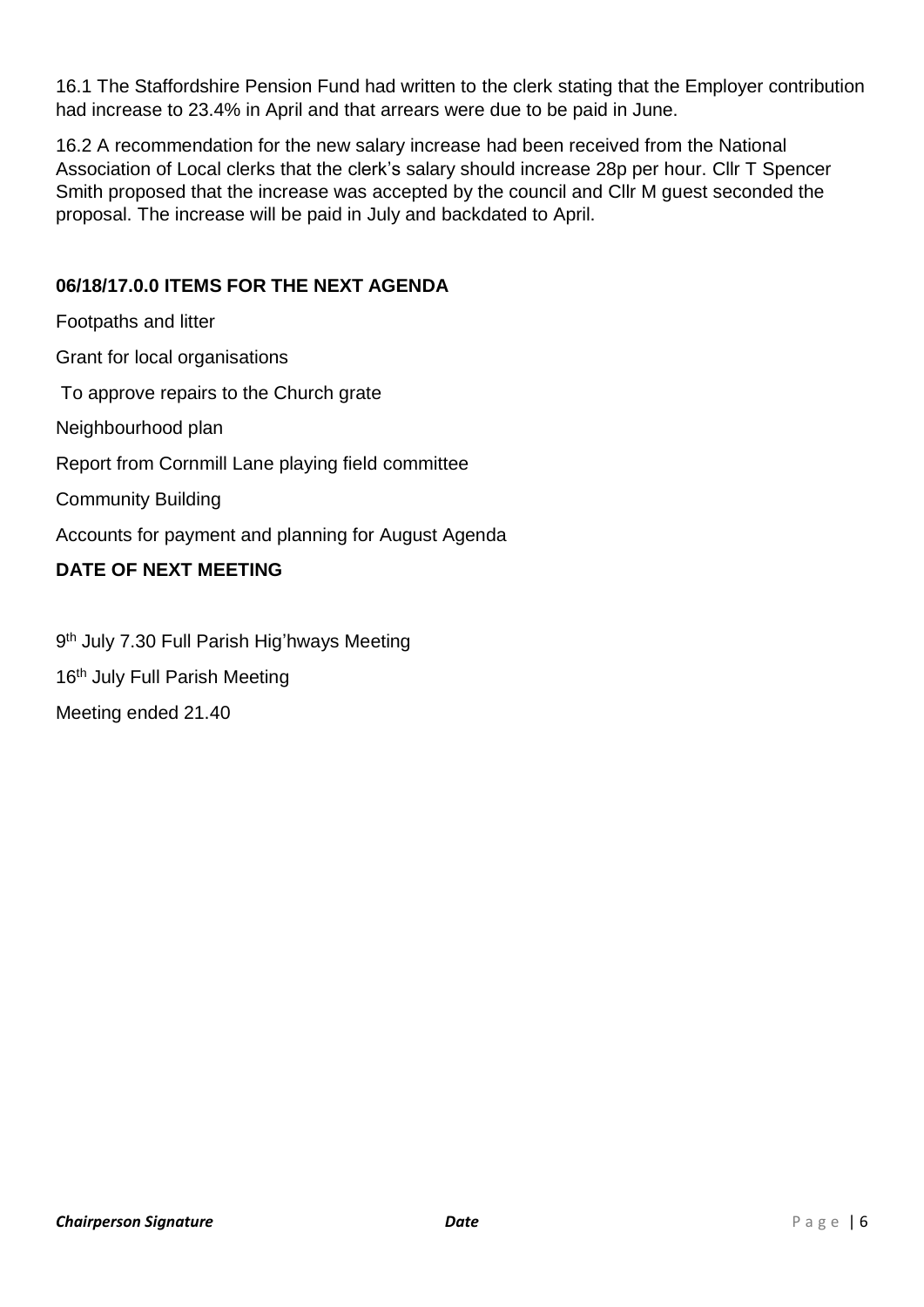16.1 The Staffordshire Pension Fund had written to the clerk stating that the Employer contribution had increase to 23.4% in April and that arrears were due to be paid in June.

16.2 A recommendation for the new salary increase had been received from the National Association of Local clerks that the clerk's salary should increase 28p per hour. Cllr T Spencer Smith proposed that the increase was accepted by the council and Cllr M guest seconded the proposal. The increase will be paid in July and backdated to April.

## **06/18/17.0.0 ITEMS FOR THE NEXT AGENDA**

Footpaths and litter Grant for local organisations To approve repairs to the Church grate Neighbourhood plan Report from Cornmill Lane playing field committee Community Building Accounts for payment and planning for August Agenda

# **DATE OF NEXT MEETING**

9<sup>th</sup> July 7.30 Full Parish Hig'hways Meeting

16<sup>th</sup> July Full Parish Meeting

Meeting ended 21.40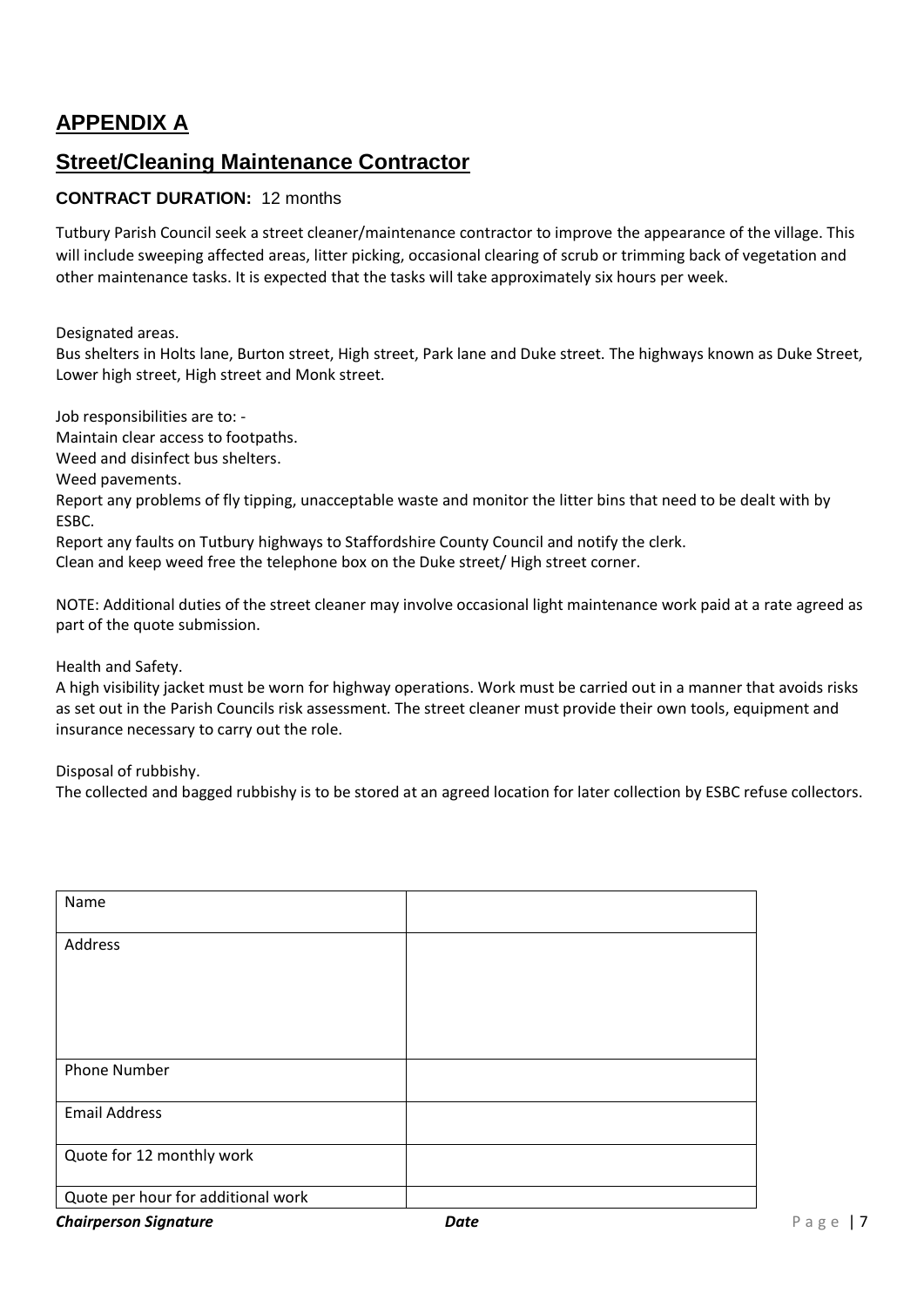# **APPENDIX A**

## **Street/Cleaning Maintenance Contractor**

#### **CONTRACT DURATION:** 12 months

Tutbury Parish Council seek a street cleaner/maintenance contractor to improve the appearance of the village. This will include sweeping affected areas, litter picking, occasional clearing of scrub or trimming back of vegetation and other maintenance tasks. It is expected that the tasks will take approximately six hours per week.

Designated areas.

Bus shelters in Holts lane, Burton street, High street, Park lane and Duke street. The highways known as Duke Street, Lower high street, High street and Monk street.

Job responsibilities are to: -

Maintain clear access to footpaths.

Weed and disinfect bus shelters.

Weed pavements.

Report any problems of fly tipping, unacceptable waste and monitor the litter bins that need to be dealt with by ESBC.

Report any faults on Tutbury highways to Staffordshire County Council and notify the clerk. Clean and keep weed free the telephone box on the Duke street/ High street corner.

NOTE: Additional duties of the street cleaner may involve occasional light maintenance work paid at a rate agreed as part of the quote submission.

Health and Safety.

A high visibility jacket must be worn for highway operations. Work must be carried out in a manner that avoids risks as set out in the Parish Councils risk assessment. The street cleaner must provide their own tools, equipment and insurance necessary to carry out the role.

Disposal of rubbishy.

The collected and bagged rubbishy is to be stored at an agreed location for later collection by ESBC refuse collectors.

| <b>Chairperson Signature</b>       | <b>Date</b> | Page   $7$ |
|------------------------------------|-------------|------------|
| Quote per hour for additional work |             |            |
| Quote for 12 monthly work          |             |            |
|                                    |             |            |
| <b>Email Address</b>               |             |            |
| Phone Number                       |             |            |
|                                    |             |            |
|                                    |             |            |
|                                    |             |            |
|                                    |             |            |
| Address                            |             |            |
|                                    |             |            |
| Name                               |             |            |